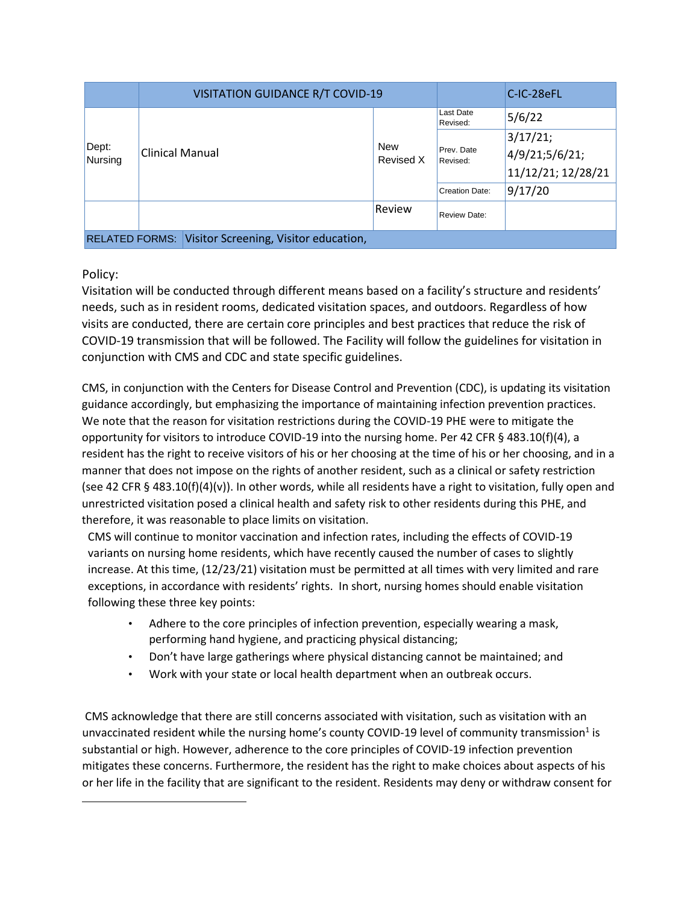|                                                                | <b>VISITATION GUIDANCE R/T COVID-19</b> |                         |                        | C-IC-28eFL         |
|----------------------------------------------------------------|-----------------------------------------|-------------------------|------------------------|--------------------|
| Dept:<br>Nursing                                               | <b>Clinical Manual</b>                  | <b>New</b><br>Revised X | Last Date<br>Revised:  | 5/6/22             |
|                                                                |                                         |                         | Prev. Date<br>Revised: | 3/17/21;           |
|                                                                |                                         |                         |                        | 4/9/21;5/6/21;     |
|                                                                |                                         |                         |                        | 11/12/21; 12/28/21 |
|                                                                |                                         |                         | <b>Creation Date:</b>  | 9/17/20            |
|                                                                |                                         | Review                  | <b>Review Date:</b>    |                    |
| Visitor Screening, Visitor education,<br><b>RELATED FORMS:</b> |                                         |                         |                        |                    |

## Policy:

Visitation will be conducted through different means based on a facility's structure and residents' needs, such as in resident rooms, dedicated visitation spaces, and outdoors. Regardless of how visits are conducted, there are certain core principles and best practices that reduce the risk of COVID-19 transmission that will be followed. The Facility will follow the guidelines for visitation in conjunction with CMS and CDC and state specific guidelines.

CMS, in conjunction with the Centers for Disease Control and Prevention (CDC), is updating its visitation guidance accordingly, but emphasizing the importance of maintaining infection prevention practices. We note that the reason for visitation restrictions during the COVID-19 PHE were to mitigate the opportunity for visitors to introduce COVID-19 into the nursing home. Per 42 CFR § 483.10(f)(4), a resident has the right to receive visitors of his or her choosing at the time of his or her choosing, and in a manner that does not impose on the rights of another resident, such as a clinical or safety restriction (see 42 CFR § 483.10(f)(4)(v)). In other words, while all residents have a right to visitation, fully open and unrestricted visitation posed a clinical health and safety risk to other residents during this PHE, and therefore, it was reasonable to place limits on visitation.

CMS will continue to monitor vaccination and infection rates, including the effects of COVID-19 variants on nursing home residents, which have recently caused the number of cases to slightly increase. At this time, (12/23/21) visitation must be permitted at all times with very limited and rare exceptions, in accordance with residents' rights. In short, nursing homes should enable visitation following these three key points:

- Adhere to the core principles of infection prevention, especially wearing a mask, performing hand hygiene, and practicing physical distancing;
- Don't have large gatherings where physical distancing cannot be maintained; and
- Work with your state or local health department when an outbreak occurs.

CMS acknowledge that there are still concerns associated with visitation, such as visitation with an unvaccinated resident while the nursing home's county COVID-19 level of community transmission<sup>1</sup> is substantial or high. However, adherence to the core principles of COVID-19 infection prevention mitigates these concerns. Furthermore, the resident has the right to make choices about aspects of his or her life in the facility that are significant to the resident. Residents may deny or withdraw consent for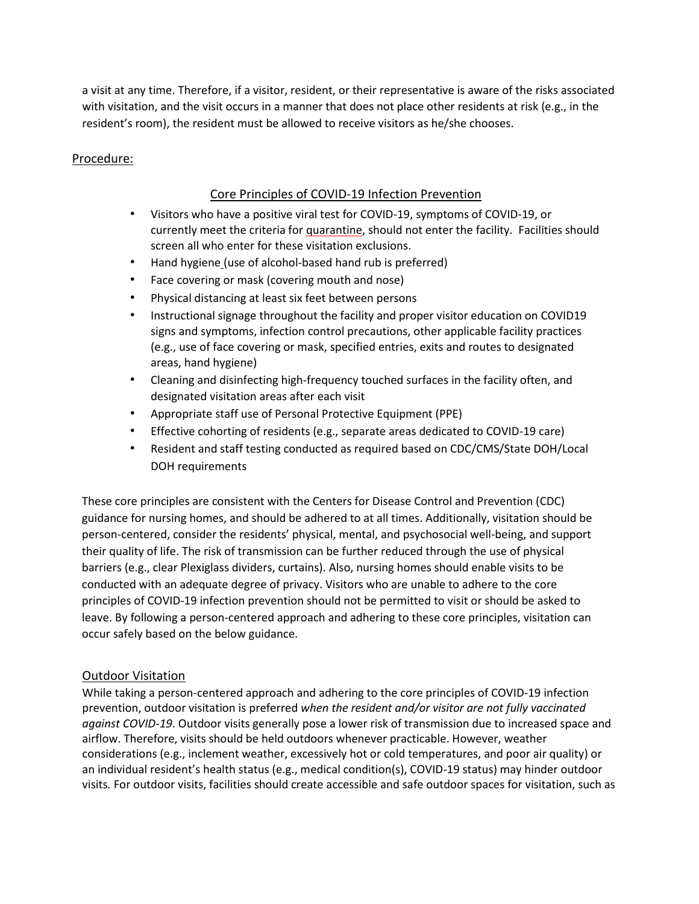a visit at any time. Therefore, if a visitor, resident, or their representative is aware of the risks associated with visitation, and the visit occurs in a manner that does not place other residents at risk (e.g., in the resident's room), the resident must be allowed to receive visitors as he/she chooses.

## Procedure:

## Core Principles of COVID-19 Infection Prevention

- Visitors who have a positive viral test for COVID-19, symptoms of COVID-19, or currently meet the criteria fo[r](https://www.cdc.gov/coronavirus/2019-ncov/if-you-are-sick/quarantine.html) [quarantine,](https://www.cdc.gov/coronavirus/2019-ncov/if-you-are-sick/quarantine.html) should not enter the facility. Facilities should screen all who enter for these visitation exclusions.
- [Hand hygiene](https://www.cdc.gov/handhygiene/pdfs/Provider-Factsheet-508.pdf) [\(u](https://www.cdc.gov/handhygiene/pdfs/Provider-Factsheet-508.pdf)se of alcohol-based hand rub is preferred)
- Face covering or mask (covering mouth and nose)
- Physical distancing at least six feet between persons
- Instructional signage throughout the facility and proper visitor education on COVID19 signs and symptoms, infection control precautions, other applicable facility practices (e.g., use of face covering or mask, specified entries, exits and routes to designated areas, hand hygiene)
- Cleaning and disinfecting high-frequency touched surfaces in the facility often, and designated visitation areas after each visit
- Appropriate staff use o[f Personal Protective Equipment \(PPE\)](https://www.cdc.gov/coronavirus/2019-ncov/hcp/using-ppe.html)
- Effective cohorting of residents (e.g., separate areas dedicated to COVID-19 care)
- Resident and staff testing conducted as required based on CDC/CMS/State DOH/Local DOH requirements

These core principles are consistent with the Centers for Disease Control and Prevention [\(CDC\)](https://www.cdc.gov/coronavirus/2019-ncov/hcp/long-term-care.html?CDC_AA_refVal=https%3A%2F%2Fwww.cdc.gov%2Fcoronavirus%2F2019-ncov%2Fhealthcare-facilities%2Fprevent-spread-in-long-term-care-facilities.html) [guidance](https://www.cdc.gov/coronavirus/2019-ncov/hcp/long-term-care.html?CDC_AA_refVal=https%3A%2F%2Fwww.cdc.gov%2Fcoronavirus%2F2019-ncov%2Fhealthcare-facilities%2Fprevent-spread-in-long-term-care-facilities.html) [fo](https://www.cdc.gov/coronavirus/2019-ncov/hcp/long-term-care.html?CDC_AA_refVal=https%3A%2F%2Fwww.cdc.gov%2Fcoronavirus%2F2019-ncov%2Fhealthcare-facilities%2Fprevent-spread-in-long-term-care-facilities.html)r nursing homes, and should be adhered to at all times. Additionally, visitation should be person-centered, consider the residents' physical, mental, and psychosocial well-being, and support their quality of life. The risk of transmission can be further reduced through the use of physical barriers (e.g., clear Plexiglass dividers, curtains). Also, nursing homes should enable visits to be conducted with an adequate degree of privacy. Visitors who are unable to adhere to the core principles of COVID-19 infection prevention should not be permitted to visit or should be asked to leave. By following a person-centered approach and adhering to these core principles, visitation can occur safely based on the below guidance.

### Outdoor Visitation

While taking a person-centered approach and adhering to the core principles of COVID-19 infection prevention, outdoor visitation is preferred *when the resident and/or visitor are not fully vaccinated against COVID-19*. Outdoor visits generally pose a lower risk of transmission due to increased space and airflow. Therefore, visits should be held outdoors whenever practicable. However, weather considerations (e.g., inclement weather, excessively hot or cold temperatures, and poor air quality) or an individual resident's health status (e.g., medical condition(s), COVID-19 status) may hinder outdoor visits*.* For outdoor visits, facilities should create accessible and safe outdoor spaces for visitation, such as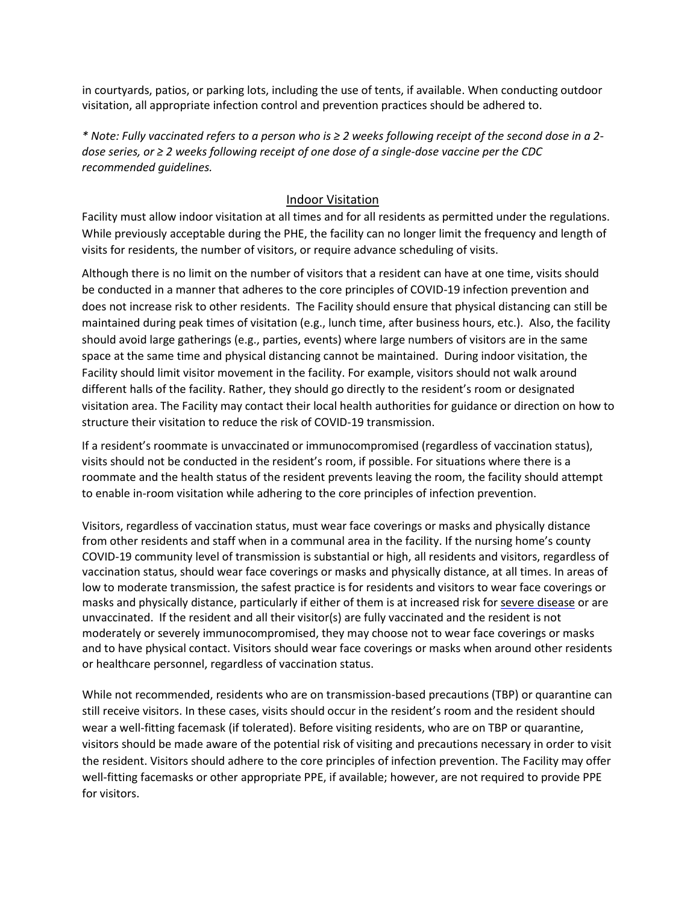in courtyards, patios, or parking lots, including the use of tents, if available. When conducting outdoor visitation, all appropriate infection control and prevention practices should be adhered to.

*\* Note: Fully vaccinated refers to a person who is ≥ 2 weeks following receipt of the second dose in a 2 dose series, or ≥ 2 weeks following receipt of one dose of a single-dose vaccine per the CDC recommended guidelines.*

#### Indoor Visitation

Facility must allow indoor visitation at all times and for all residents as permitted under the regulations. While previously acceptable during the PHE, the facility can no longer limit the frequency and length of visits for residents, the number of visitors, or require advance scheduling of visits.

Although there is no limit on the number of visitors that a resident can have at one time, visits should be conducted in a manner that adheres to the core principles of COVID-19 infection prevention and does not increase risk to other residents. The Facility should ensure that physical distancing can still be maintained during peak times of visitation (e.g., lunch time, after business hours, etc.). Also, the facility should avoid large gatherings (e.g., parties, events) where large numbers of visitors are in the same space at the same time and physical distancing cannot be maintained. During indoor visitation, the Facility should limit visitor movement in the facility. For example, visitors should not walk around different halls of the facility. Rather, they should go directly to the resident's room or designated visitation area. The Facility may contact their local health authorities for guidance or direction on how to structure their visitation to reduce the risk of COVID-19 transmission.

If a resident's roommate is unvaccinated or immunocompromised (regardless of vaccination status), visits should not be conducted in the resident's room, if possible. For situations where there is a roommate and the health status of the resident prevents leaving the room, the facility should attempt to enable in-room visitation while adhering to the core principles of infection prevention.

Visitors, regardless of vaccination status, must wear face coverings or masks and physically distance from other residents and staff when in a communal area in the facility. If the nursing home's county COVID-19 community level of transmission is substantial or high, all residents and visitors, regardless of vaccination status, should wear face coverings or masks and physically distance, at all times. In areas of low to moderate transmission, the safest practice is for residents and visitors to wear face coverings or masks and physically distance, particularly if either of them is at increased risk fo[r severe disease](https://www.cdc.gov/coronavirus/2019-ncov/need-extra-precautions/people-with-medical-conditions.html) or are unvaccinated. If the resident and all their visitor(s) are fully vaccinated and the resident is not moderately or severely immunocompromised, they may choose not to wear face coverings or masks and to have physical contact. Visitors should wear face coverings or masks when around other residents or healthcare personnel, regardless of vaccination status.

While not recommended, residents who are on transmission-based precautions (TBP) or quarantine can still receive visitors. In these cases, visits should occur in the resident's room and the resident should wear a well-fitting facemask (if tolerated). Before visiting residents, who are on TBP or quarantine, visitors should be made aware of the potential risk of visiting and precautions necessary in order to visit the resident. Visitors should adhere to the core principles of infection prevention. The Facility may offer well-fitting facemasks or other appropriate PPE, if available; however, are not required to provide PPE for visitors.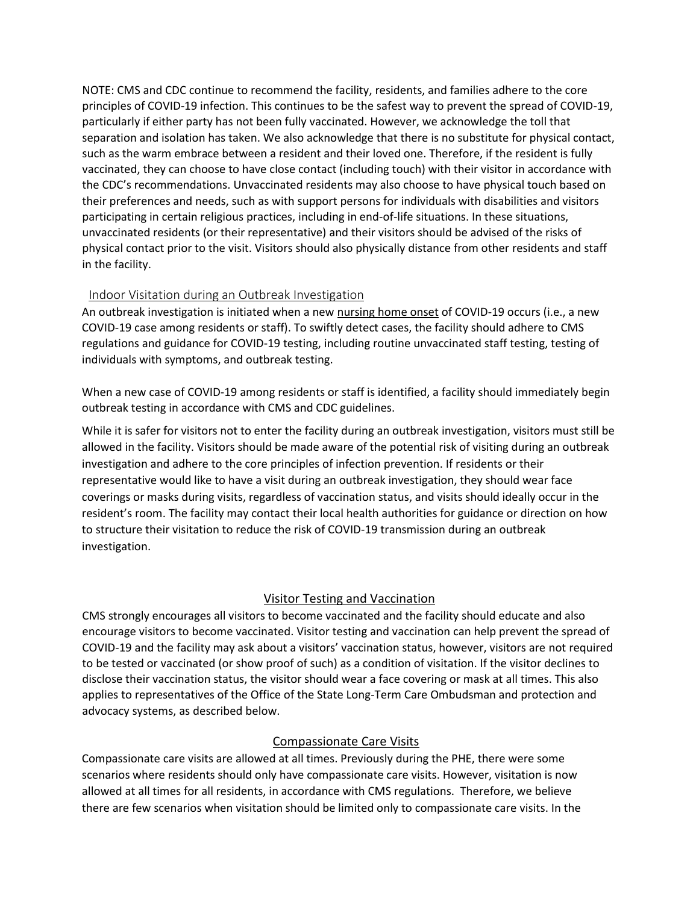NOTE: CMS and CDC continue to recommend the facility, residents, and families adhere to the core principles of COVID-19 infection. This continues to be the safest way to prevent the spread of COVID-19, particularly if either party has not been fully vaccinated. However, we acknowledge the toll that separation and isolation has taken. We also acknowledge that there is no substitute for physical contact, such as the warm embrace between a resident and their loved one. Therefore, if the resident is fully vaccinated, they can choose to have close contact (including touch) with their visitor in accordance with the CDC's recommendations. Unvaccinated residents may also choose to have physical touch based on their preferences and needs, such as with support persons for individuals with disabilities and visitors participating in certain religious practices, including in end-of-life situations. In these situations, unvaccinated residents (or their representative) and their visitors should be advised of the risks of physical contact prior to the visit. Visitors should also physically distance from other residents and staff in the facility.

### Indoor Visitation during an Outbreak Investigation

An outbreak investigation is initiated when a new [nursing home onset](https://www.cdc.gov/coronavirus/2019-ncov/hcp/long-term-care.html) of COVID-19 occurs (i.e., a new COVID-19 case among residents or staff). To swiftly detect cases, the facility should adhere to CMS regulations and guidance for COVID-19 testing, including routine unvaccinated staff testing, testing of individuals with symptoms, and outbreak testing.

When a new case of COVID-19 among residents or staff is identified, a facility should immediately begin outbreak testing in accordance with CMS and CDC guidelines.

While it is safer for visitors not to enter the facility during an outbreak investigation, visitors must still be allowed in the facility. Visitors should be made aware of the potential risk of visiting during an outbreak investigation and adhere to the core principles of infection prevention. If residents or their representative would like to have a visit during an outbreak investigation, they should wear face coverings or masks during visits, regardless of vaccination status, and visits should ideally occur in the resident's room. The facility may contact their local health authorities for guidance or direction on how to structure their visitation to reduce the risk of COVID-19 transmission during an outbreak investigation.

# Visitor Testing and Vaccination

CMS strongly encourages all visitors to become vaccinated and the facility should educate and also encourage visitors to become vaccinated. Visitor testing and vaccination can help prevent the spread of COVID-19 and the facility may ask about a visitors' vaccination status, however, visitors are not required to be tested or vaccinated (or show proof of such) as a condition of visitation. If the visitor declines to disclose their vaccination status, the visitor should wear a face covering or mask at all times. This also applies to representatives of the Office of the State Long-Term Care Ombudsman and protection and advocacy systems, as described below.

# Compassionate Care Visits

Compassionate care visits are allowed at all times. Previously during the PHE, there were some scenarios where residents should only have compassionate care visits. However, visitation is now allowed at all times for all residents, in accordance with CMS regulations. Therefore, we believe there are few scenarios when visitation should be limited only to compassionate care visits. In the